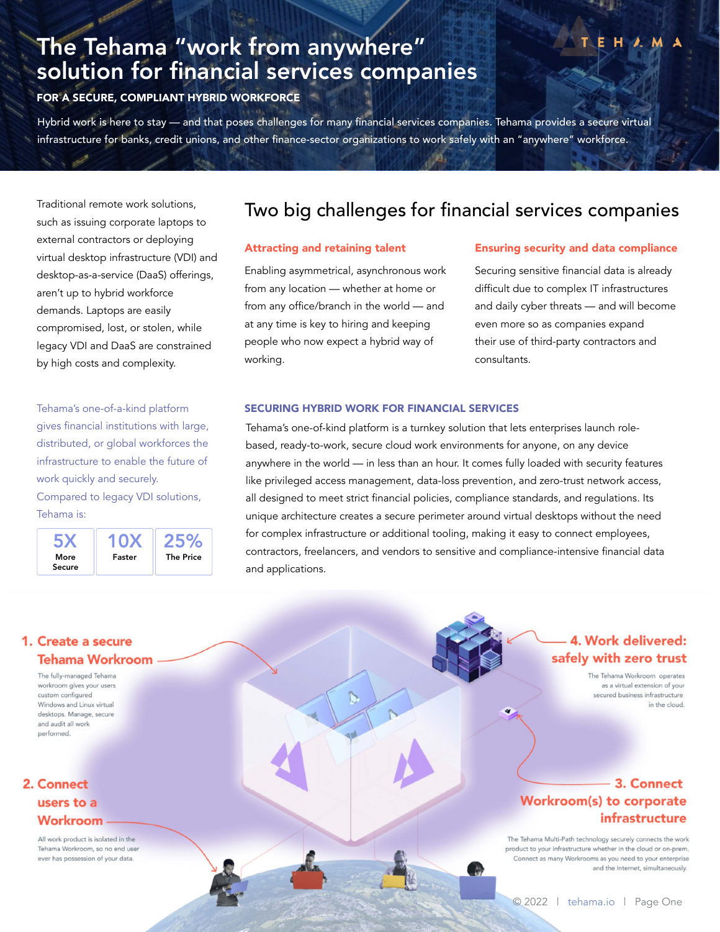# The Tehama "work from anywhere" solution for financial services companies

FOR A SECURE, COMPLIANT HYBRID WORKFORCE

Hybrid work is here to stay — and that poses challenges for many financial services companies. Tehama provides a secure virtual infrastructure for banks, credit unions, and other finance-sector organizations to work safely with an "anywhere" workforce.

Traditional remote work solutions, such as issuing corporate laptops to external contractors or deploying virtual desktop infrastructure (VDI) and desktop-as-a-service (DaaS) offerings, aren't up to hybrid workforce demands. Laptops are easily compromised, lost, or stolen, while legacy VDI and DaaS are constrained by high costs and complexity.

Tehama's one-of-a-kind platform gives financial institutions with large, distributed, or global workforces the infrastructure to enable the future of work quickly and securely. Compared to legacy VDI solutions, Tehama is:

More Secure 5X Faster 10X The Price 25%

# Two big challenges for financial services companies

### Attracting and retaining talent

Enabling asymmetrical, asynchronous work from any location — whether at home or from any office/branch in the world — and at any time is key to hiring and keeping people who now expect a hybrid way of working.

ħ

### Ensuring security and data compliance

 $H \wedge M$ 

Securing sensitive financial data is already difficult due to complex IT infrastructures and daily cyber threats — and will become even more so as companies expand their use of third-party contractors and consultants.

#### SECURING HYBRID WORK FOR FINANCIAL SERVICES

Tehama's one-of-kind platform is a turnkey solution that lets enterprises launch rolebased, ready-to-work, secure cloud work environments for anyone, on any device anywhere in the world — in less than an hour. It comes fully loaded with security features like privileged access management, data-loss prevention, and zero-trust network access, all designed to meet strict financial policies, compliance standards, and regulations. Its unique architecture creates a secure perimeter around virtual desktops without the need for complex infrastructure or additional tooling, making it easy to connect employees, contractors, freelancers, and vendors to sensitive and compliance-intensive financial data and applications.

## 1. Create a secure **Tehama Workroom**

The fully-managed Tehama workroom aives your users custom configured Windows and Linux virtual desktops. Manage, secure and audit all work performed

# 2. Connect users to a Workroom

All work product is isolated in the Tehama Workroom, so no end user ever has possession of your data.

# 4. Work delivered: safely with zero trust

The Tehama Workroom operates as a virtual extension of your secured business infrastructure in the cloud.

# 3. Connect Workroom(s) to corporate infrastructure

The Tehama Multi-Path technology securely connects the work product to your infrastructure whether in the cloud or on-prem. Connect as many Workrooms as you need to your enterprise and the Internet, simultaneously.